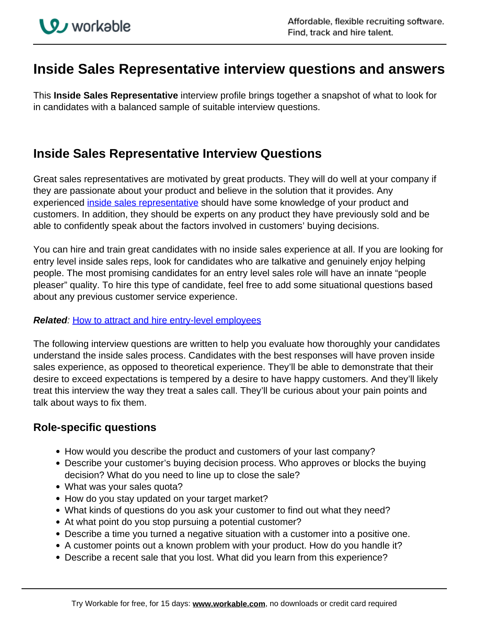## **Inside Sales Representative interview questions and answers**

This **Inside Sales Representative** interview profile brings together a snapshot of what to look for in candidates with a balanced sample of suitable interview questions.

## **Inside Sales Representative Interview Questions**

Great sales representatives are motivated by great products. They will do well at your company if they are passionate about your product and believe in the solution that it provides. Any experienced *inside sales representative* should have some knowledge of your product and customers. In addition, they should be experts on any product they have previously sold and be able to confidently speak about the factors involved in customers' buying decisions.

You can hire and train great candidates with no inside sales experience at all. If you are looking for entry level inside sales reps, look for candidates who are talkative and genuinely enjoy helping people. The most promising candidates for an entry level sales role will have an innate "people pleaser" quality. To hire this type of candidate, feel free to add some situational questions based about any previous customer service experience.

## **Related:** How to attract and hire entry-level employees

The following interview questions are written to help you evaluate how thoroughly your candidates understand the inside sales process. Candidates with the best responses will have proven inside sales experience, as opposed to theoretical experience. They'll be able to demonstrate that their desire to exceed expectations is tempered by a desire to have happy customers. And they'll likely treat this interview the way they treat a sales call. They'll be curious about your pain points and talk about ways to fix them.

## **Role-specific questions**

- How would you describe the product and customers of your last company?
- Describe your customer's buying decision process. Who approves or blocks the buying decision? What do you need to line up to close the sale?
- What was your sales quota?
- How do you stay updated on your target market?
- What kinds of questions do you ask your customer to find out what they need?
- At what point do you stop pursuing a potential customer?
- Describe a time you turned a negative situation with a customer into a positive one.
- A customer points out a known problem with your product. How do you handle it?
- Describe a recent sale that you lost. What did you learn from this experience?